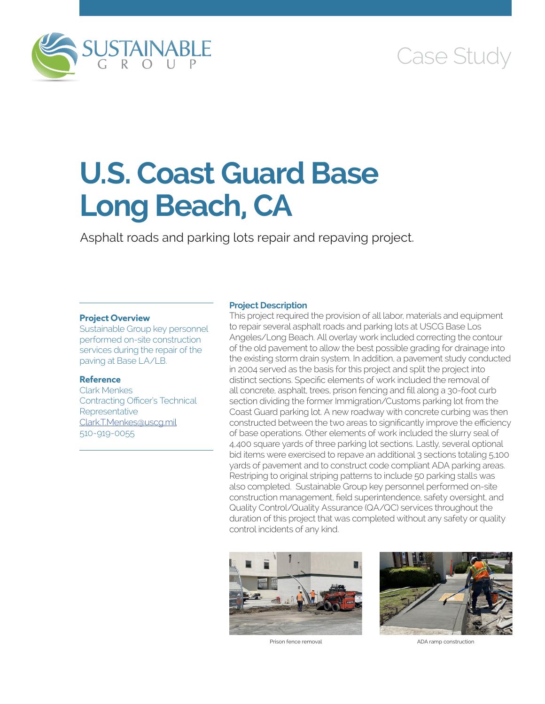

# Case Study

# **U.S. Coast Guard Base Long Beach, CA**

Asphalt roads and parking lots repair and repaving project.

### **Project Overview**

Sustainable Group key personnel performed on-site construction services during the repair of the paving at Base LA/LB.

### **Reference**

Clark Menkes Contracting Officer's Technical **Representative** [Clark.T.Menkes@uscg.mil](mailto:Clark.T.Menkes@uscg.mil) 510-919-0055

#### **Project Description**

This project required the provision of all labor, materials and equipment to repair several asphalt roads and parking lots at USCG Base Los Angeles/Long Beach. All overlay work included correcting the contour of the old pavement to allow the best possible grading for drainage into the existing storm drain system. In addition, a pavement study conducted in 2004 served as the basis for this project and split the project into distinct sections. Specific elements of work included the removal of all concrete, asphalt, trees, prison fencing and fill along a 30-foot curb section dividing the former Immigration/Customs parking lot from the Coast Guard parking lot. A new roadway with concrete curbing was then constructed between the two areas to significantly improve the efficiency of base operations. Other elements of work included the slurry seal of 4,400 square yards of three parking lot sections. Lastly, several optional bid items were exercised to repave an additional 3 sections totaling 5,100 yards of pavement and to construct code compliant ADA parking areas. Restriping to original striping patterns to include 50 parking stalls was also completed. Sustainable Group key personnel performed on-site construction management, field superintendence, safety oversight, and Quality Control/Quality Assurance (QA/QC) services throughout the duration of this project that was completed without any safety or quality control incidents of any kind.





Prison fence removal and a set of the ADA ramp construction